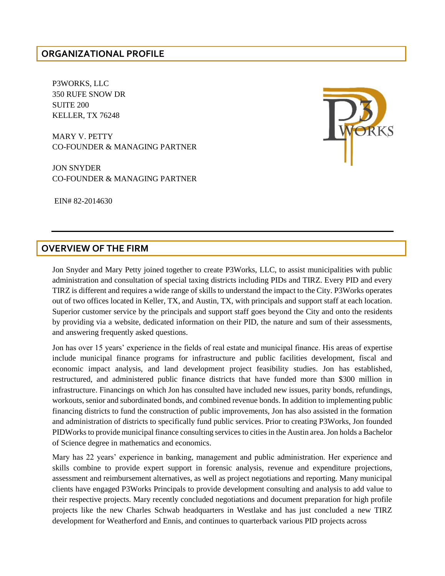### **ORGANIZATIONAL PROFILE**

P3WORKS, LLC 350 RUFE SNOW DR SUITE 200 KELLER, TX 76248

MARY V. PETTY CO-FOUNDER & MANAGING PARTNER

JON SNYDER CO-FOUNDER & MANAGING PARTNER

EIN# 82-2014630

#### **OVERVIEW OF THE FIRM**

Jon Snyder and Mary Petty joined together to create P3Works, LLC, to assist municipalities with public administration and consultation of special taxing districts including PIDs and TIRZ. Every PID and every TIRZ is different and requires a wide range of skills to understand the impact to the City. P3Works operates out of two offices located in Keller, TX, and Austin, TX, with principals and support staff at each location. Superior customer service by the principals and support staff goes beyond the City and onto the residents by providing via a website, dedicated information on their PID, the nature and sum of their assessments, and answering frequently asked questions.

Jon has over 15 years' experience in the fields of real estate and municipal finance. His areas of expertise include municipal finance programs for infrastructure and public facilities development, fiscal and economic impact analysis, and land development project feasibility studies. Jon has established, restructured, and administered public finance districts that have funded more than \$300 million in infrastructure. Financings on which Jon has consulted have included new issues, parity bonds, refundings, workouts, senior and subordinated bonds, and combined revenue bonds. In addition to implementing public financing districts to fund the construction of public improvements, Jon has also assisted in the formation and administration of districts to specifically fund public services. Prior to creating P3Works, Jon founded PIDWorks to provide municipal finance consulting services to cities in the Austin area. Jon holds a Bachelor of Science degree in mathematics and economics.

Mary has 22 years' experience in banking, management and public administration. Her experience and skills combine to provide expert support in forensic analysis, revenue and expenditure projections, assessment and reimbursement alternatives, as well as project negotiations and reporting. Many municipal clients have engaged P3Works Principals to provide development consulting and analysis to add value to their respective projects. Mary recently concluded negotiations and document preparation for high profile projects like the new Charles Schwab headquarters in Westlake and has just concluded a new TIRZ development for Weatherford and Ennis, and continues to quarterback various PID projects across